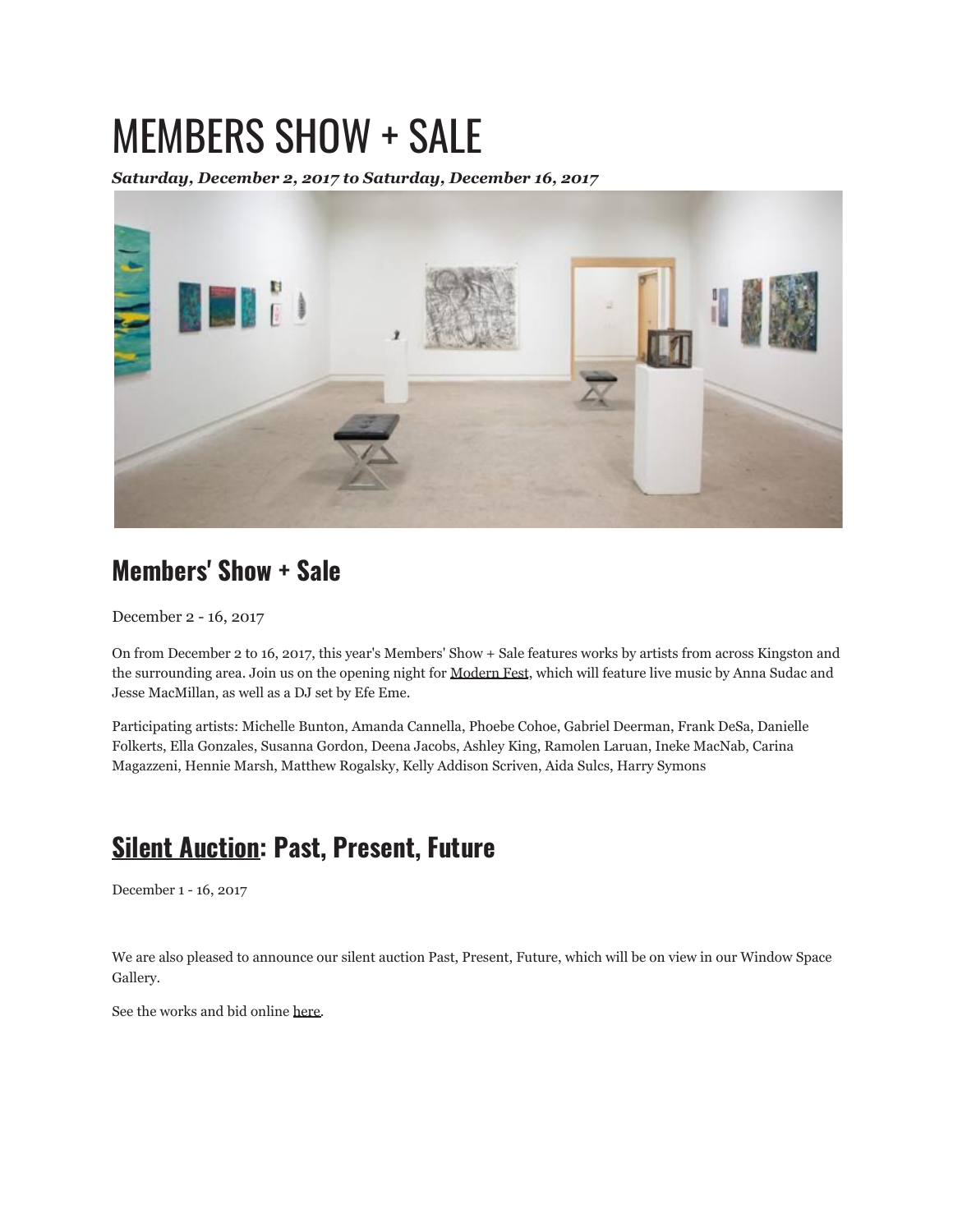## MEMBERS SHOW + SALE

*Saturday, December 2, 2017 to Saturday, December 16, 2017*



## **Members' Show + Sale**

December 2 - 16, 2017

On from December 2 to 16, 2017, this year's Members' Show + Sale features works by artists from across Kingston and the surrounding area. Join us on the opening night for Modern Fest, which will feature live music by Anna Sudac and Jesse MacMillan, as well as a DJ set by Efe Eme.

Participating artists: Michelle Bunton, Amanda Cannella, Phoebe Cohoe, Gabriel Deerman, Frank DeSa, Danielle Folkerts, Ella Gonzales, Susanna Gordon, Deena Jacobs, Ashley King, Ramolen Laruan, Ineke MacNab, Carina Magazzeni, Hennie Marsh, Matthew Rogalsky, Kelly Addison Scriven, Aida Sulcs, Harry Symons

## **Silent Auction: Past, Present, Future**

December 1 - 16, 2017

We are also pleased to announce our silent auction Past, Present, Future, which will be on view in our Window Space Gallery.

See the works and bid online here.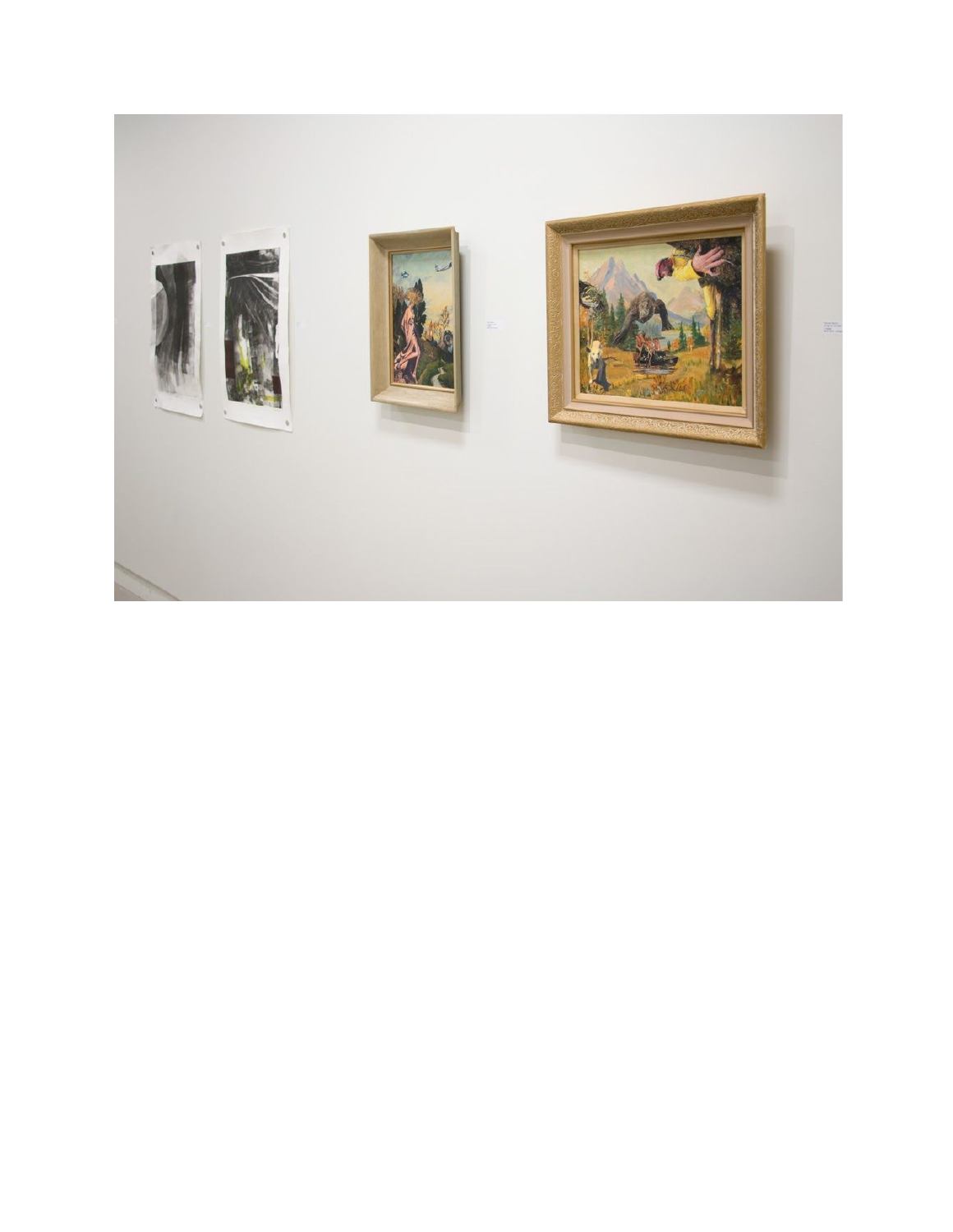